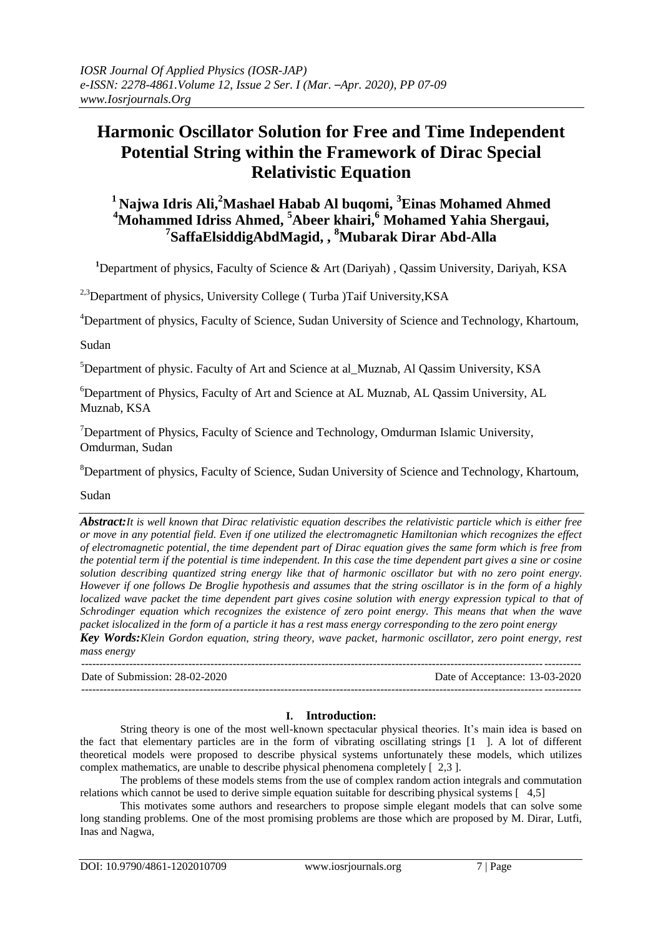# **Harmonic Oscillator Solution for Free and Time Independent Potential String within the Framework of Dirac Special Relativistic Equation**

# **<sup>1</sup>Najwa Idris Ali, <sup>2</sup>Mashael Habab Al buqomi, <sup>3</sup>Einas Mohamed Ahmed <sup>4</sup>Mohammed Idriss Ahmed, <sup>5</sup>Abeer khairi,<sup>6</sup> Mohamed Yahia Shergaui, 7 SaffaElsiddigAbdMagid, , <sup>8</sup>Mubarak Dirar Abd-Alla**

<sup>1</sup>Department of physics, Faculty of Science & Art (Dariyah), Oassim University, Dariyah, KSA

<sup>2,3</sup>Department of physics, University College (Turba )Taif University, KSA

<sup>4</sup>Department of physics, Faculty of Science, Sudan University of Science and Technology, Khartoum,

Sudan

<sup>5</sup>Department of physic. Faculty of Art and Science at al\_Muznab, Al Qassim University, KSA

<sup>6</sup>Department of Physics, Faculty of Art and Science at AL Muznab, AL Qassim University, AL Muznab, KSA

<sup>7</sup>Department of Physics, Faculty of Science and Technology, Omdurman Islamic University, Omdurman, Sudan

<sup>8</sup>Department of physics, Faculty of Science, Sudan University of Science and Technology, Khartoum,

Sudan

*Abstract:It is well known that Dirac relativistic equation describes the relativistic particle which is either free or move in any potential field. Even if one utilized the electromagnetic Hamiltonian which recognizes the effect of electromagnetic potential, the time dependent part of Dirac equation gives the same form which is free from the potential term if the potential is time independent. In this case the time dependent part gives a sine or cosine solution describing quantized string energy like that of harmonic oscillator but with no zero point energy. However if one follows De Broglie hypothesis and assumes that the string oscillator is in the form of a highly localized wave packet the time dependent part gives cosine solution with energy expression typical to that of Schrodinger equation which recognizes the existence of zero point energy. This means that when the wave packet islocalized in the form of a particle it has a rest mass energy corresponding to the zero point energy Key Words:Klein Gordon equation, string theory, wave packet, harmonic oscillator, zero point energy, rest* 

*mass energy* 

--------------------------------------------------------------------------------------------------------------------------------------- Date of Submission: 28-02-2020 Date of Acceptance: 13-03-2020 ---------------------------------------------------------------------------------------------------------------------------------------

## **I. Introduction:**

String theory is one of the most well-known spectacular physical theories. It's main idea is based on the fact that elementary particles are in the form of vibrating oscillating strings [1 ]. A lot of different theoretical models were proposed to describe physical systems unfortunately these models, which utilizes complex mathematics, are unable to describe physical phenomena completely [ 2,3 ].

The problems of these models stems from the use of complex random action integrals and commutation relations which cannot be used to derive simple equation suitable for describing physical systems [ 4,5]

This motivates some authors and researchers to propose simple elegant models that can solve some long standing problems. One of the most promising problems are those which are proposed by M. Dirar, Lutfi, Inas and Nagwa,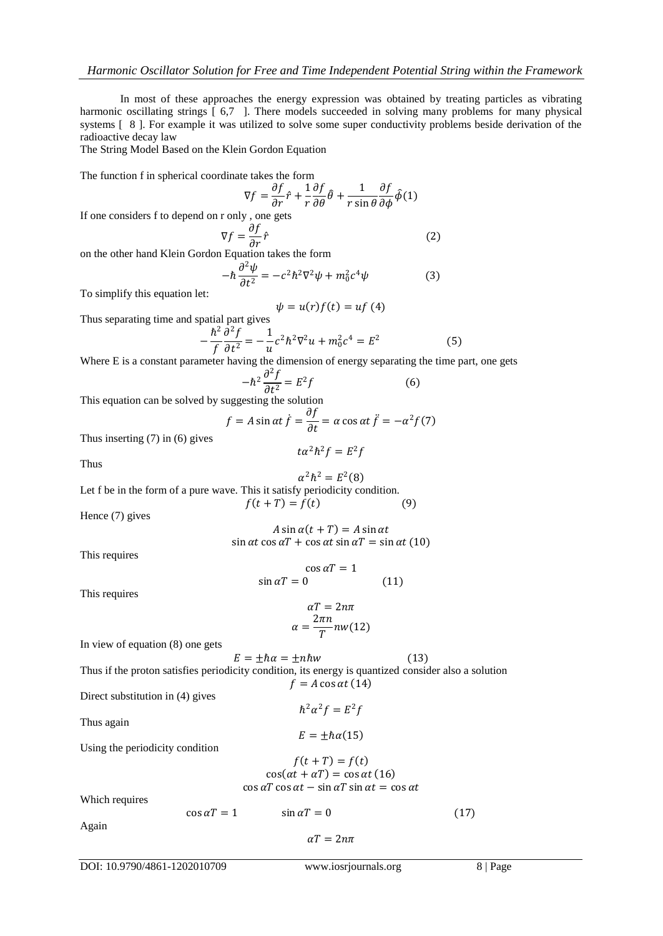In most of these approaches the energy expression was obtained by treating particles as vibrating harmonic oscillating strings [ 6,7 ]. There models succeeded in solving many problems for many physical systems [ 8 ]. For example it was utilized to solve some super conductivity problems beside derivation of the radioactive decay law

The String Model Based on the Klein Gordon Equation

The function f in spherical coordinate takes the form

$$
\nabla f = \frac{\partial f}{\partial r}\hat{r} + \frac{1}{r}\frac{\partial f}{\partial \theta}\hat{\theta} + \frac{1}{r\sin\theta}\frac{\partial f}{\partial \phi}\hat{\phi}(1)
$$

If one considers f to depend on r only , one gets

$$
\nabla f = \frac{\partial f}{\partial r} \hat{r}
$$
 (2)

on the other hand Klein Gordon Equation takes the form

$$
-\hbar \frac{\partial^2 \psi}{\partial t^2} = -c^2 \hbar^2 \nabla^2 \psi + m_0^2 c^4 \psi \tag{3}
$$

To simplify this equation let:

Thus separating time and spatial part gives  
\n
$$
\psi = u(r)f(t) = uf(4)
$$
\n
$$
\hbar^2 \frac{\partial^2 f}{\partial^2 f} = 1 \quad \text{and} \quad \frac{\partial^2 f}{\partial^2 f} = 1 \quad \text{and} \quad \frac{\partial^2 f}{\partial^2 f} = 1 \quad \text{and} \quad \frac{\partial^2 f}{\partial^2 f} = 1 \quad \text{and} \quad \frac{\partial^2 f}{\partial^2 f} = 1 \quad \text{and} \quad \frac{\partial^2 f}{\partial^2 f} = 1 \quad \text{and} \quad \frac{\partial^2 f}{\partial^2 f} = 1 \quad \text{and} \quad \frac{\partial^2 f}{\partial^2 f} = 1 \quad \text{and} \quad \frac{\partial^2 f}{\partial^2 f} = 1 \quad \text{and} \quad \frac{\partial^2 f}{\partial^2 f} = 1 \quad \text{and} \quad \frac{\partial^2 f}{\partial^2 f} = 1 \quad \text{and} \quad \frac{\partial^2 f}{\partial^2 f} = 1 \quad \text{and} \quad \frac{\partial^2 f}{\partial^2 f} = 1 \quad \text{and} \quad \frac{\partial^2 f}{\partial^2 f} = 1 \quad \text{and} \quad \frac{\partial^2 f}{\partial^2 f} = 1 \quad \text{and} \quad \frac{\partial^2 f}{\partial^2 f} = 1 \quad \text{and} \quad \frac{\partial^2 f}{\partial^2 f} = 1 \quad \text{and} \quad \frac{\partial^2 f}{\partial^2 f} = 1 \quad \text{and} \quad \frac{\partial^2 f}{\partial^2 f} = 1 \quad \text{and} \quad \frac{\partial^2 f}{\partial^2 f} = 1 \quad \text{and} \quad \frac{\partial^2 f}{\partial^2 f} = 1 \quad \text{and} \quad \frac{\partial^2 f}{\partial^2 f} = 1 \quad \text{and} \quad \frac{\partial^2 f}{\partial^2 f} = 1 \quad \text{and} \quad \frac{\partial^2 f}{\partial^2 f} = 1 \quad \text{and} \quad \frac{\partial^2 f}{\partial^2 f} = 1 \quad \text{and} \quad \frac{\partial^2 f}{\partial^2 f} = 1 \quad \text{and} \quad \frac{\partial^2 f}{\partial^2 f} = 1 \quad \text{and} \quad \frac{\partial^2 f}{\partial^2 f} = 1 \quad \text{
$$

$$
-\frac{\hbar^2}{f}\frac{\partial^2 f}{\partial t^2} = -\frac{1}{u}c^2\hbar^2\nabla^2 u + m_0^2c^4 = E^2
$$
 (5)

Where E is a constant parameter having the dimension of energy separating the time part, one gets

$$
-\hbar^2 \frac{\partial^2 f}{\partial t^2} = E^2 f \tag{6}
$$

This equation can be solved by suggesting the solution

$$
f = A \sin \alpha t \dot{f} = \frac{\partial f}{\partial t} = \alpha \cos \alpha t \ddot{f} = -\alpha^2 f(7)
$$

 $\int \frac{1}{2} h^2 f = E^2 f$ 

Thus inserting (7) in (6) gives

Thus

 $\alpha^2 \hbar^2 = E^2(8)$ Let f be in the form of a pure wave. This it satisfy periodicity condition.  $f(t + T) = f(t)$  (9)

Hence (7) gives

 $A \sin \alpha (t + T) = A \sin \alpha t$  $\sin \alpha t \cos \alpha T + \cos \alpha t \sin \alpha T = \sin \alpha t (10)$ 

This requires

$$
\cos \alpha T = 1
$$
  
 
$$
\sin \alpha T = 0
$$
 (11)

This requires

$$
\alpha T = 2n\pi
$$

$$
\alpha = \frac{2\pi n}{T} n w(12)
$$

In view of equation (8) one gets

 $E = \pm \hbar \alpha = \pm n \hbar w$  (13) Thus if the proton satisfies periodicity condition, its energy is quantized consider also a solution  $f = A \cos \alpha t (14)$ Direct substitution in (4) gives  $\hbar^2 \alpha^2 f = E^2 f$ Thus again  $E = \pm \hbar \alpha(15)$ Using the periodicity condition  $f(t + T) = f(t)$  $\cos(\alpha t + \alpha T) = \cos \alpha t (16)$  $\cos \alpha T \cos \alpha t - \sin \alpha T \sin \alpha t = \cos \alpha t$ 

Which requires

 $\cos \alpha T = 1$   $\sin \alpha T = 0$  (17)

Again

$$
\alpha T=2n\pi
$$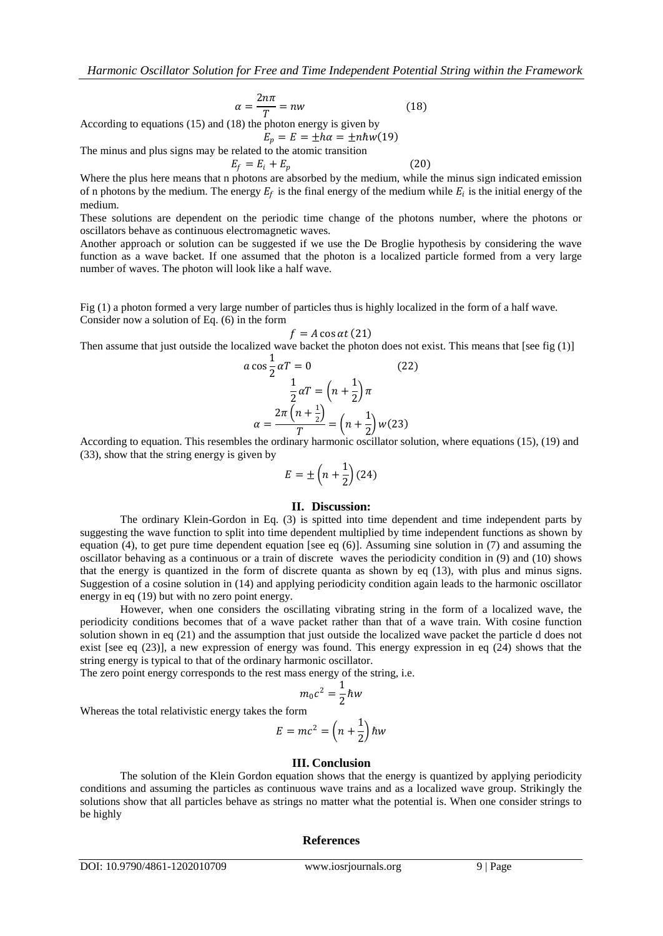$$
\alpha = \frac{2n\pi}{T} = nw \tag{18}
$$

According to equations (15) and (18) the photon energy is given by

$$
E_p = E = \pm h\alpha = \pm nhw(19)
$$

The minus and plus signs may be related to the atomic transition  $E_f = E_i + E_n$  (20)

 $\alpha$ 

Where the plus here means that n photons are absorbed by the medium, while the minus sign indicated emission of n photons by the medium. The energy  $E_f$  is the final energy of the medium while  $E_i$  is the initial energy of the medium.

These solutions are dependent on the periodic time change of the photons number, where the photons or oscillators behave as continuous electromagnetic waves.

Another approach or solution can be suggested if we use the De Broglie hypothesis by considering the wave function as a wave backet. If one assumed that the photon is a localized particle formed from a very large number of waves. The photon will look like a half wave.

Fig (1) a photon formed a very large number of particles thus is highly localized in the form of a half wave. Consider now a solution of Eq. (6) in the form

$$
f = A\cos\alpha t (21)
$$

Then assume that just outside the localized wave backet the photon does not exist. This means that [see fig (1)]

$$
\cos\frac{1}{2}\alpha T = 0
$$
\n
$$
\frac{1}{2}\alpha T = \left(n + \frac{1}{2}\right)\pi
$$
\n
$$
\alpha = \frac{2\pi \left(n + \frac{1}{2}\right)}{T} = \left(n + \frac{1}{2}\right)w(23)
$$
\n(22)

According to equation. This resembles the ordinary harmonic oscillator solution, where equations (15), (19) and (33), show that the string energy is given by

$$
E = \pm \left(n + \frac{1}{2}\right)(24)
$$

#### **II. Discussion:**

The ordinary Klein-Gordon in Eq. (3) is spitted into time dependent and time independent parts by suggesting the wave function to split into time dependent multiplied by time independent functions as shown by equation (4), to get pure time dependent equation [see eq  $(6)$ ]. Assuming sine solution in (7) and assuming the oscillator behaving as a continuous or a train of discrete waves the periodicity condition in (9) and (10) shows that the energy is quantized in the form of discrete quanta as shown by eq (13), with plus and minus signs. Suggestion of a cosine solution in (14) and applying periodicity condition again leads to the harmonic oscillator energy in eq (19) but with no zero point energy.

However, when one considers the oscillating vibrating string in the form of a localized wave, the periodicity conditions becomes that of a wave packet rather than that of a wave train. With cosine function solution shown in eq (21) and the assumption that just outside the localized wave packet the particle d does not exist [see eq (23)], a new expression of energy was found. This energy expression in eq (24) shows that the string energy is typical to that of the ordinary harmonic oscillator.

The zero point energy corresponds to the rest mass energy of the string, i.e.

$$
m_0 c^2 = \frac{1}{2} \hbar w
$$

Whereas the total relativistic energy takes the form

$$
E = mc^2 = \left(n + \frac{1}{2}\right)\hbar w
$$

### **III. Conclusion**

The solution of the Klein Gordon equation shows that the energy is quantized by applying periodicity conditions and assuming the particles as continuous wave trains and as a localized wave group. Strikingly the solutions show that all particles behave as strings no matter what the potential is. When one consider strings to be highly

#### **References**